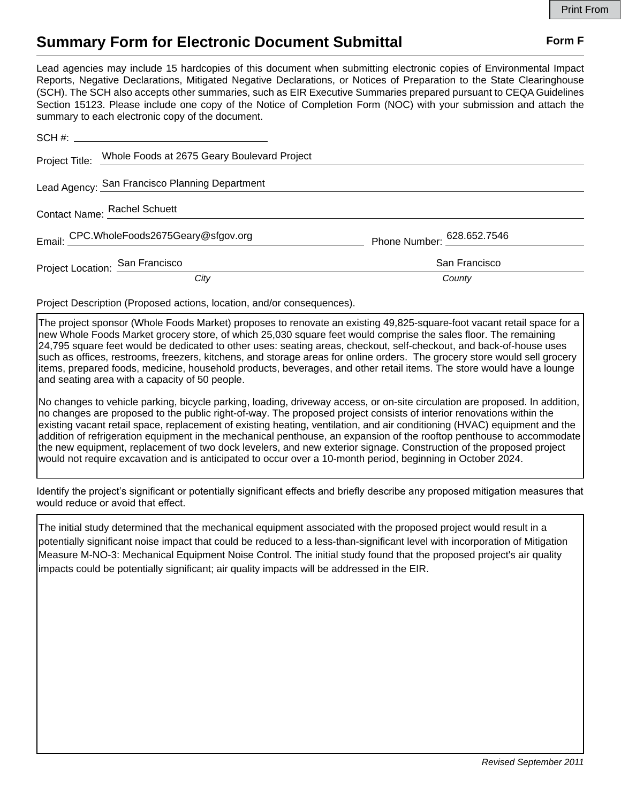## **Summary Form for Electronic Document Submittal Form F Form F**

Lead agencies may include 15 hardcopies of this document when submitting electronic copies of Environmental Impact Reports, Negative Declarations, Mitigated Negative Declarations, or Notices of Preparation to the State Clearinghouse (SCH). The SCH also accepts other summaries, such as EIR Executive Summaries prepared pursuant to CEQA Guidelines Section 15123. Please include one copy of the Notice of Completion Form (NOC) with your submission and attach the summary to each electronic copy of the document.

|                              | Project Title: Whole Foods at 2675 Geary Boulevard Project |                            |
|------------------------------|------------------------------------------------------------|----------------------------|
|                              | Lead Agency: San Francisco Planning Department             |                            |
| Contact Name: Rachel Schuett |                                                            |                            |
|                              | Email: CPC.WholeFoods2675Geary@sfgov.org                   | Phone Number: 628.652.7546 |
|                              | Project Location: San Francisco                            | San Francisco              |
|                              | City                                                       | County                     |

Project Description (Proposed actions, location, and/or consequences).

The project sponsor (Whole Foods Market) proposes to renovate an existing 49,825-square-foot vacant retail space for a new Whole Foods Market grocery store, of which 25,030 square feet would comprise the sales floor. The remaining 24,795 square feet would be dedicated to other uses: seating areas, checkout, self-checkout, and back-of-house uses such as offices, restrooms, freezers, kitchens, and storage areas for online orders. The grocery store would sell grocery items, prepared foods, medicine, household products, beverages, and other retail items. The store would have a lounge and seating area with a capacity of 50 people.

No changes to vehicle parking, bicycle parking, loading, driveway access, or on-site circulation are proposed. In addition, no changes are proposed to the public right-of-way. The proposed project consists of interior renovations within the existing vacant retail space, replacement of existing heating, ventilation, and air conditioning (HVAC) equipment and the addition of refrigeration equipment in the mechanical penthouse, an expansion of the rooftop penthouse to accommodate the new equipment, replacement of two dock levelers, and new exterior signage. Construction of the proposed project would not require excavation and is anticipated to occur over a 10-month period, beginning in October 2024.

Identify the project's significant or potentially significant effects and briefly describe any proposed mitigation measures that would reduce or avoid that effect.

The initial study determined that the mechanical equipment associated with the proposed project would result in a potentially significant noise impact that could be reduced to a less-than-significant level with incorporation of Mitigation Measure M-NO-3: Mechanical Equipment Noise Control. The initial study found that the proposed project's air quality impacts could be potentially significant; air quality impacts will be addressed in the EIR.